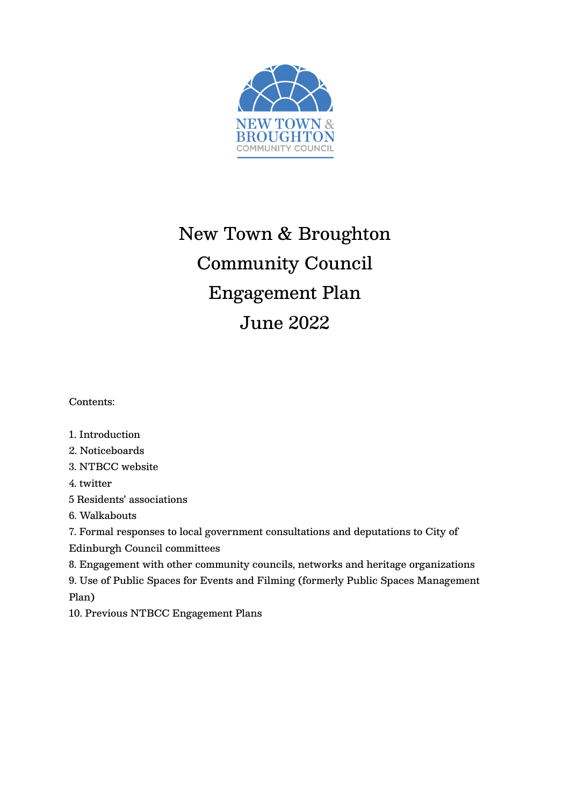

# New Town & Broughton Community Council Engagement Plan June 2022

Contents:

## 1. Introduction

2. Noticeboards

3. NTBCC website

4. twitter

5 Residents' associations

6. Walkabouts

7. Formal responses to local government consultations and deputations to City of

Edinburgh Council committees

8. Engagement with other community councils, networks and heritage organizations

9. Use of Public Spaces for Events and Filming (formerly Public Spaces Management Plan)

10. Previous NTBCC Engagement Plans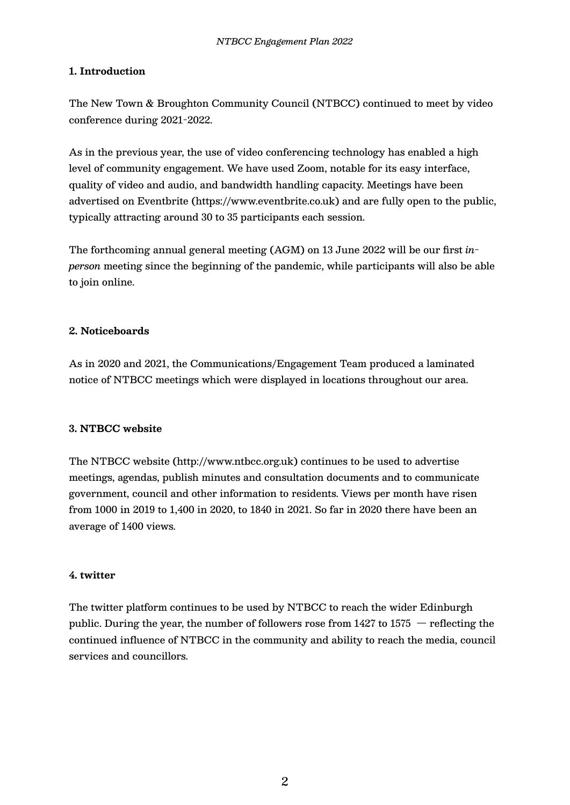### **1. Introduction**

The New Town & Broughton Community Council (NTBCC) continued to meet by video conference during 2021-2022.

As in the previous year, the use of video conferencing technology has enabled a high level of community engagement. We have used Zoom, notable for its easy interface, quality of video and audio, and bandwidth handling capacity. Meetings have been advertised on Eventbrite (https://www.eventbrite.co.uk) and are fully open to the public, typically attracting around 30 to 35 participants each session.

The forthcoming annual general meeting (AGM) on 13 June 2022 will be our first *inperson* meeting since the beginning of the pandemic, while participants will also be able to join online.

#### **2. Noticeboards**

As in 2020 and 2021, the Communications/Engagement Team produced a laminated notice of NTBCC meetings which were displayed in locations throughout our area.

#### **3. NTBCC website**

The NTBCC website (http://www.ntbcc.org.uk) continues to be used to advertise meetings, agendas, publish minutes and consultation documents and to communicate government, council and other information to residents. Views per month have risen from 1000 in 2019 to 1,400 in 2020, to 1840 in 2021. So far in 2020 there have been an average of 1400 views.

#### **4. twitter**

The twitter platform continues to be used by NTBCC to reach the wider Edinburgh public. During the year, the number of followers rose from  $1427$  to  $1575$  - reflecting the continued influence of NTBCC in the community and ability to reach the media, council services and councillors.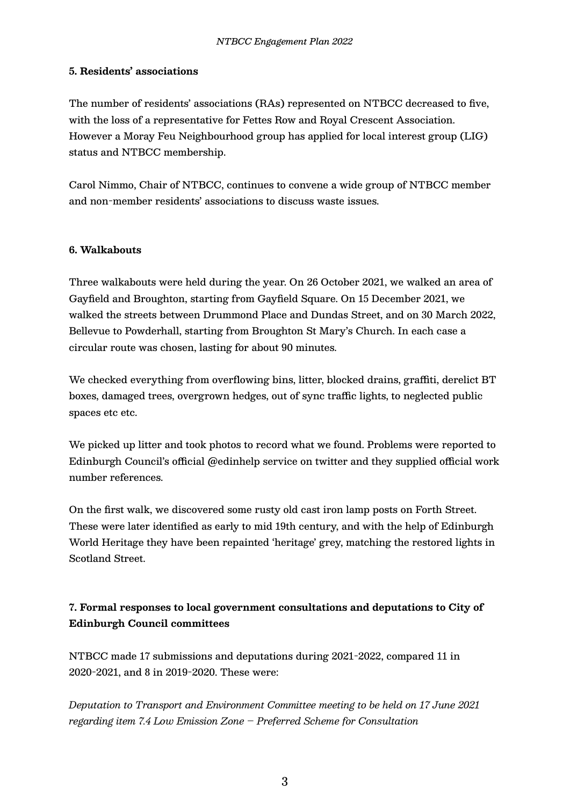#### **5. Residents' associations**

The number of residents' associations (RAs) represented on NTBCC decreased to five, with the loss of a representative for Fettes Row and Royal Crescent Association. However a Moray Feu Neighbourhood group has applied for local interest group (LIG) status and NTBCC membership.

Carol Nimmo, Chair of NTBCC, continues to convene a wide group of NTBCC member and non-member residents' associations to discuss waste issues.

#### **6. Walkabouts**

Three walkabouts were held during the year. On 26 October 2021, we walked an area of Gayfield and Broughton, starting from Gayfield Square. On 15 December 2021, we walked the streets between Drummond Place and Dundas Street, and on 30 March 2022, Bellevue to Powderhall, starting from Broughton St Mary's Church. In each case a circular route was chosen, lasting for about 90 minutes.

We checked everything from overflowing bins, litter, blocked drains, graffiti, derelict BT boxes, damaged trees, overgrown hedges, out of sync traffic lights, to neglected public spaces etc etc.

We picked up litter and took photos to record what we found. Problems were reported to Edinburgh Council's official @edinhelp service on twitter and they supplied official work number references.

On the first walk, we discovered some rusty old cast iron lamp posts on Forth Street. These were later identified as early to mid 19th century, and with the help of Edinburgh World Heritage they have been repainted 'heritage' grey, matching the restored lights in Scotland Street.

## **7. Formal responses to local government consultations and deputations to City of Edinburgh Council committees**

NTBCC made 17 submissions and deputations during 2021-2022, compared 11 in 2020-2021, and 8 in 2019-2020. These were:

*Deputation to Transport and Environment Committee meeting to be held on 17 June 2021 regarding item 7.4 Low Emission Zone – Preferred Scheme for Consultation*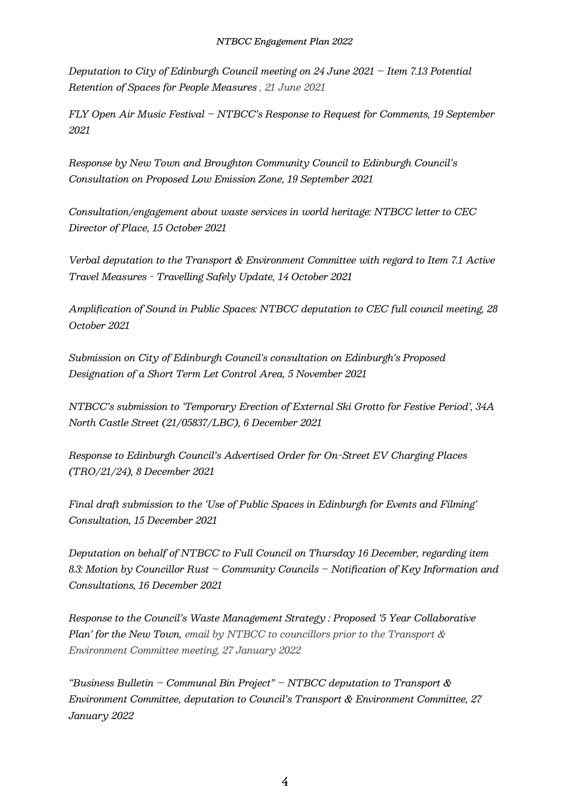*Deputation to City of Edinburgh Council meeting on 24 June 2021 – Item 7.13 Potential Retention of Spaces for People Measures , 21 June 2021*

*FLY Open Air Music Festival – NTBCC's Response to Request for Comments, 19 September 2021*

*Response by New Town and Broughton Community Council to Edinburgh Council's Consultation on Proposed Low Emission Zone, 19 September 2021*

*Consultation/engagement about waste services in world heritage: NTBCC letter to CEC Director of Place, 15 October 2021*

*Verbal deputation to the Transport & Environment Committee with regard to Item 7.1 Active Travel Measures - Travelling Safely Update, 14 October 2021*

*Amplification of Sound in Public Spaces: NTBCC deputation to CEC full council meeting, 28 October 2021*

*Submission on City of Edinburgh Council's consultation on Edinburgh's Proposed Designation of a Short Term Let Control Area, 5 November 2021*

*NTBCC's submission to 'Temporary Erection of External Ski Grotto for Festive Period', 34A North Castle Street (21/05837/LBC), 6 December 2021*

*Response to Edinburgh Council's Advertised Order for On-Street EV Charging Places (TRO/21/24), 8 December 2021*

*Final draft submission to the 'Use of Public Spaces in Edinburgh for Events and Filming' Consultation, 15 December 2021*

*Deputation on behalf of NTBCC to Full Council on Thursday 16 December, regarding item 8.3: Motion by Councillor Rust – Community Councils – Notification of Key Information and Consultations, 16 December 2021*

*Response to the Council's Waste Management Strategy : Proposed '5 Year Collaborative Plan' for the New Town, email by NTBCC to councillors prior to the Transport & Environment Committee meeting, 27 January 2022*

*"Business Bulletin – Communal Bin Project" – NTBCC deputation to Transport & Environment Committee, deputation to Council's Transport & Environment Committee, 27 January 2022*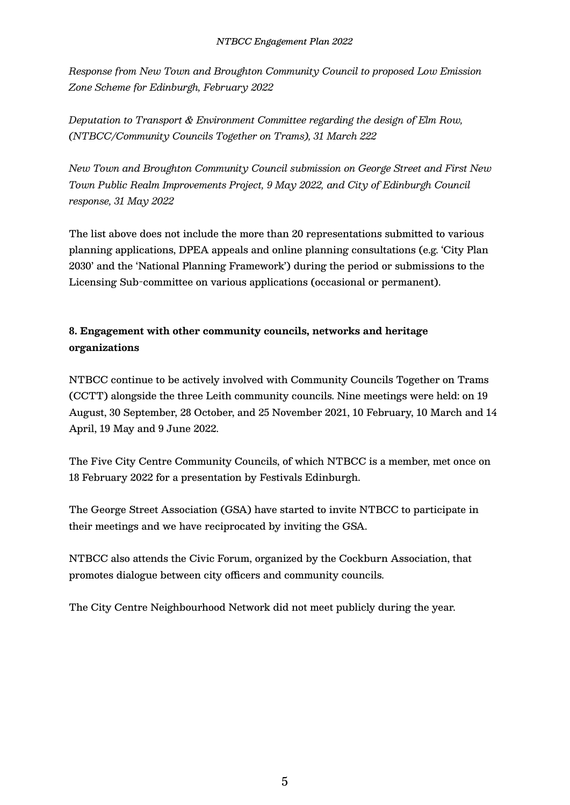*Response from New Town and Broughton Community Council to proposed Low Emission Zone Scheme for Edinburgh, February 2022*

*Deputation to Transport & Environment Committee regarding the design of Elm Row, (NTBCC/Community Councils Together on Trams), 31 March 222*

*New Town and Broughton Community Council submission on George Street and First New Town Public Realm Improvements Project, 9 May 2022, and City of Edinburgh Council response, 31 May 2022*

The list above does not include the more than 20 representations submitted to various planning applications, DPEA appeals and online planning consultations (e.g. 'City Plan 2030' and the 'National Planning Framework') during the period or submissions to the Licensing Sub-committee on various applications (occasional or permanent).

# **8. Engagement with other community councils, networks and heritage organizations**

NTBCC continue to be actively involved with Community Councils Together on Trams (CCTT) alongside the three Leith community councils. Nine meetings were held: on 19 August, 30 September, 28 October, and 25 November 2021, 10 February, 10 March and 14 April, 19 May and 9 June 2022.

The Five City Centre Community Councils, of which NTBCC is a member, met once on 18 February 2022 for a presentation by Festivals Edinburgh.

The George Street Association (GSA) have started to invite NTBCC to participate in their meetings and we have reciprocated by inviting the GSA.

NTBCC also attends the Civic Forum, organized by the Cockburn Association, that promotes dialogue between city officers and community councils.

The City Centre Neighbourhood Network did not meet publicly during the year.